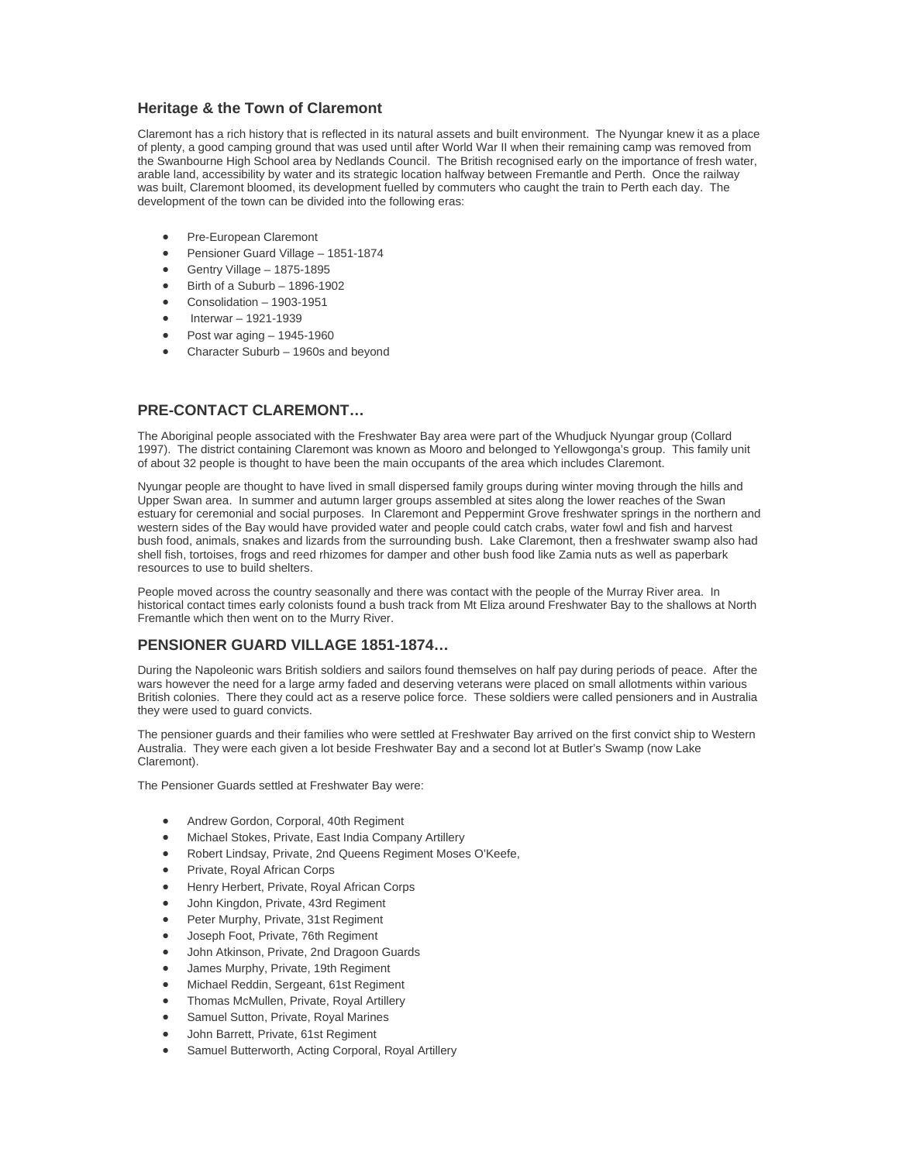### **Heritage & the Town of Claremont**

Claremont has a rich history that is reflected in its natural assets and built environment. The Nyungar knew it as a place of plenty, a good camping ground that was used until after World War II when their remaining camp was removed from the Swanbourne High School area by Nedlands Council. The British recognised early on the importance of fresh water, arable land, accessibility by water and its strategic location halfway between Fremantle and Perth. Once the railway was built, Claremont bloomed, its development fuelled by commuters who caught the train to Perth each day. The development of the town can be divided into the following eras:

- Pre-European Claremont
- Pensioner Guard Village 1851-1874
- Gentry Village 1875-1895
- Birth of a Suburb 1896-1902
- Consolidation 1903-1951
- Interwar 1921-1939
- Post war aging 1945-1960
- Character Suburb 1960s and beyond

# **PRE-CONTACT CLAREMONT…**

The Aboriginal people associated with the Freshwater Bay area were part of the Whudjuck Nyungar group (Collard 1997). The district containing Claremont was known as Mooro and belonged to Yellowgonga's group. This family unit of about 32 people is thought to have been the main occupants of the area which includes Claremont.

Nyungar people are thought to have lived in small dispersed family groups during winter moving through the hills and Upper Swan area. In summer and autumn larger groups assembled at sites along the lower reaches of the Swan estuary for ceremonial and social purposes. In Claremont and Peppermint Grove freshwater springs in the northern and western sides of the Bay would have provided water and people could catch crabs, water fowl and fish and harvest bush food, animals, snakes and lizards from the surrounding bush. Lake Claremont, then a freshwater swamp also had shell fish, tortoises, frogs and reed rhizomes for damper and other bush food like Zamia nuts as well as paperbark resources to use to build shelters.

People moved across the country seasonally and there was contact with the people of the Murray River area. In historical contact times early colonists found a bush track from Mt Eliza around Freshwater Bay to the shallows at North Fremantle which then went on to the Murry River.

## **PENSIONER GUARD VILLAGE 1851-1874…**

During the Napoleonic wars British soldiers and sailors found themselves on half pay during periods of peace. After the wars however the need for a large army faded and deserving veterans were placed on small allotments within various British colonies. There they could act as a reserve police force. These soldiers were called pensioners and in Australia they were used to guard convicts.

The pensioner guards and their families who were settled at Freshwater Bay arrived on the first convict ship to Western Australia. They were each given a lot beside Freshwater Bay and a second lot at Butler's Swamp (now Lake Claremont).

The Pensioner Guards settled at Freshwater Bay were:

- Andrew Gordon, Corporal, 40th Regiment
- Michael Stokes, Private, East India Company Artillery
- Robert Lindsay, Private, 2nd Queens Regiment Moses O'Keefe,
- Private, Royal African Corps
- Henry Herbert, Private, Royal African Corps
- John Kingdon, Private, 43rd Regiment
- Peter Murphy, Private, 31st Regiment
- Joseph Foot, Private, 76th Regiment
- John Atkinson, Private, 2nd Dragoon Guards
- James Murphy, Private, 19th Regiment
- Michael Reddin, Sergeant, 61st Regiment
- Thomas McMullen, Private, Royal Artillery
- Samuel Sutton, Private, Royal Marines
- John Barrett, Private, 61st Regiment
- Samuel Butterworth, Acting Corporal, Royal Artillery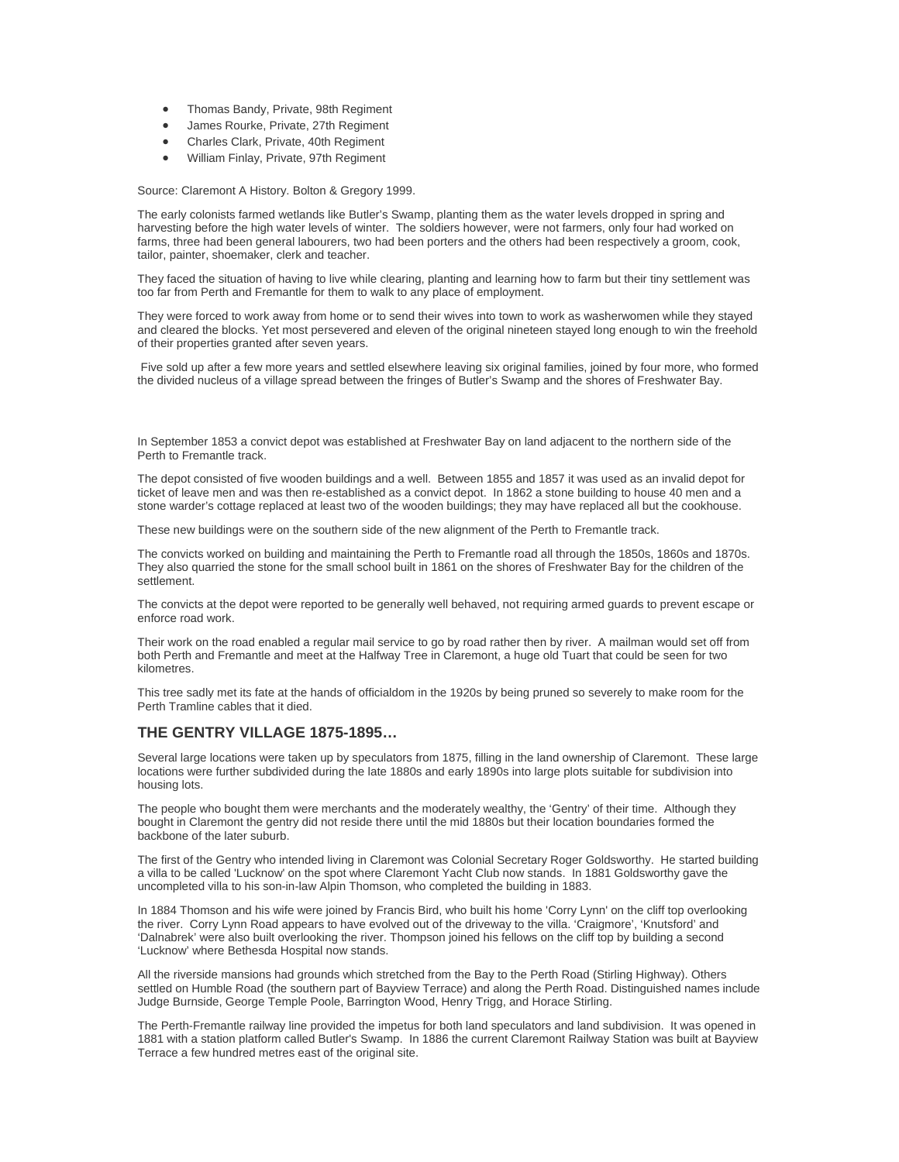- Thomas Bandy, Private, 98th Regiment
- James Rourke, Private, 27th Regiment
- Charles Clark, Private, 40th Regiment
- William Finlay, Private, 97th Regiment

Source: Claremont A History. Bolton & Gregory 1999.

The early colonists farmed wetlands like Butler's Swamp, planting them as the water levels dropped in spring and harvesting before the high water levels of winter. The soldiers however, were not farmers, only four had worked on farms, three had been general labourers, two had been porters and the others had been respectively a groom, cook, tailor, painter, shoemaker, clerk and teacher.

They faced the situation of having to live while clearing, planting and learning how to farm but their tiny settlement was too far from Perth and Fremantle for them to walk to any place of employment.

They were forced to work away from home or to send their wives into town to work as washerwomen while they stayed and cleared the blocks. Yet most persevered and eleven of the original nineteen stayed long enough to win the freehold of their properties granted after seven years.

 Five sold up after a few more years and settled elsewhere leaving six original families, joined by four more, who formed the divided nucleus of a village spread between the fringes of Butler's Swamp and the shores of Freshwater Bay.

In September 1853 a convict depot was established at Freshwater Bay on land adjacent to the northern side of the Perth to Fremantle track.

The depot consisted of five wooden buildings and a well. Between 1855 and 1857 it was used as an invalid depot for ticket of leave men and was then re-established as a convict depot. In 1862 a stone building to house 40 men and a stone warder's cottage replaced at least two of the wooden buildings; they may have replaced all but the cookhouse.

These new buildings were on the southern side of the new alignment of the Perth to Fremantle track.

The convicts worked on building and maintaining the Perth to Fremantle road all through the 1850s, 1860s and 1870s. They also quarried the stone for the small school built in 1861 on the shores of Freshwater Bay for the children of the settlement.

The convicts at the depot were reported to be generally well behaved, not requiring armed guards to prevent escape or enforce road work.

Their work on the road enabled a regular mail service to go by road rather then by river. A mailman would set off from both Perth and Fremantle and meet at the Halfway Tree in Claremont, a huge old Tuart that could be seen for two kilometres.

This tree sadly met its fate at the hands of officialdom in the 1920s by being pruned so severely to make room for the Perth Tramline cables that it died.

#### **THE GENTRY VILLAGE 1875-1895…**

Several large locations were taken up by speculators from 1875, filling in the land ownership of Claremont. These large locations were further subdivided during the late 1880s and early 1890s into large plots suitable for subdivision into housing lots.

The people who bought them were merchants and the moderately wealthy, the 'Gentry' of their time. Although they bought in Claremont the gentry did not reside there until the mid 1880s but their location boundaries formed the backbone of the later suburb.

The first of the Gentry who intended living in Claremont was Colonial Secretary Roger Goldsworthy. He started building a villa to be called 'Lucknow' on the spot where Claremont Yacht Club now stands. In 1881 Goldsworthy gave the uncompleted villa to his son-in-law Alpin Thomson, who completed the building in 1883.

In 1884 Thomson and his wife were joined by Francis Bird, who built his home 'Corry Lynn' on the cliff top overlooking the river. Corry Lynn Road appears to have evolved out of the driveway to the villa. 'Craigmore', 'Knutsford' and 'Dalnabrek' were also built overlooking the river. Thompson joined his fellows on the cliff top by building a second 'Lucknow' where Bethesda Hospital now stands.

All the riverside mansions had grounds which stretched from the Bay to the Perth Road (Stirling Highway). Others settled on Humble Road (the southern part of Bayview Terrace) and along the Perth Road. Distinguished names include Judge Burnside, George Temple Poole, Barrington Wood, Henry Trigg, and Horace Stirling.

The Perth-Fremantle railway line provided the impetus for both land speculators and land subdivision. It was opened in 1881 with a station platform called Butler's Swamp. In 1886 the current Claremont Railway Station was built at Bayview Terrace a few hundred metres east of the original site.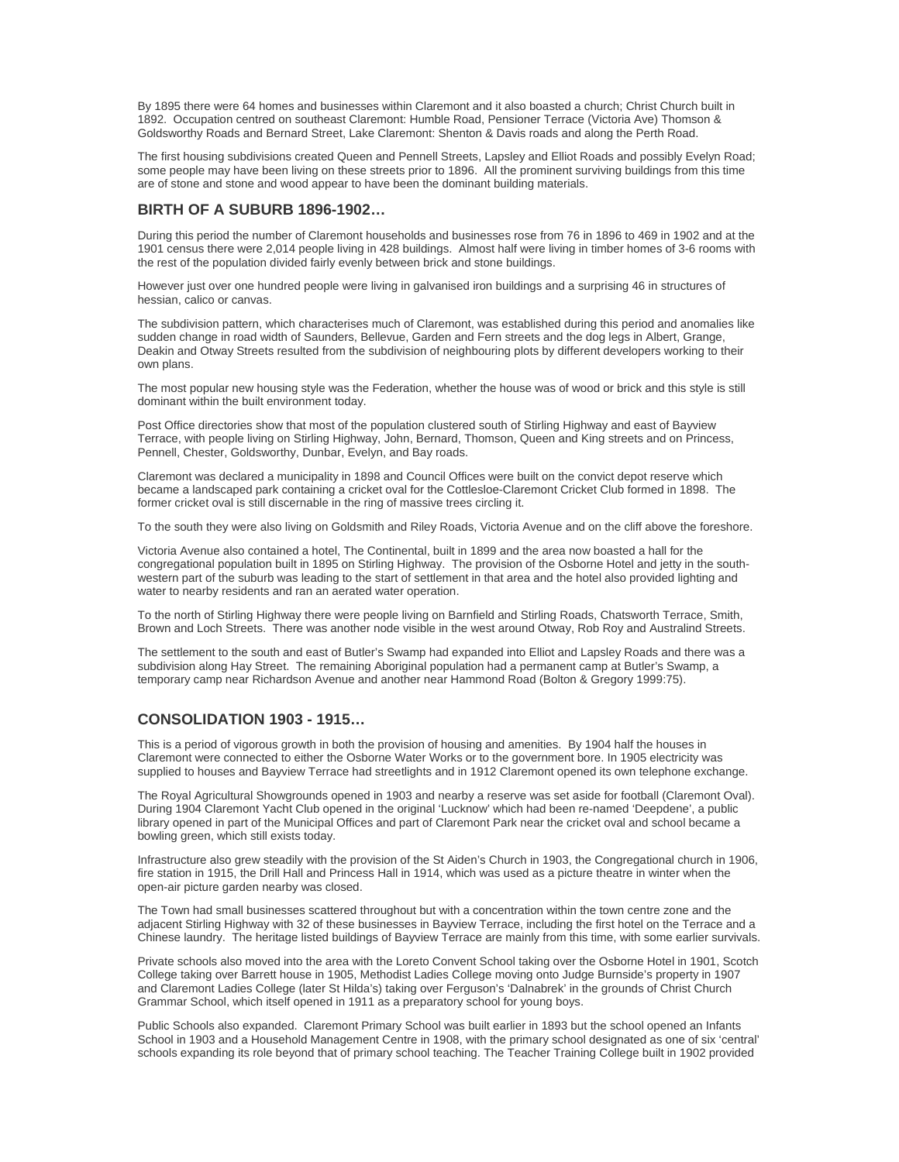By 1895 there were 64 homes and businesses within Claremont and it also boasted a church; Christ Church built in 1892. Occupation centred on southeast Claremont: Humble Road, Pensioner Terrace (Victoria Ave) Thomson & Goldsworthy Roads and Bernard Street, Lake Claremont: Shenton & Davis roads and along the Perth Road.

The first housing subdivisions created Queen and Pennell Streets, Lapsley and Elliot Roads and possibly Evelyn Road; some people may have been living on these streets prior to 1896. All the prominent surviving buildings from this time are of stone and stone and wood appear to have been the dominant building materials.

#### **BIRTH OF A SUBURB 1896-1902…**

During this period the number of Claremont households and businesses rose from 76 in 1896 to 469 in 1902 and at the 1901 census there were 2,014 people living in 428 buildings. Almost half were living in timber homes of 3-6 rooms with the rest of the population divided fairly evenly between brick and stone buildings.

However just over one hundred people were living in galvanised iron buildings and a surprising 46 in structures of hessian, calico or canvas.

The subdivision pattern, which characterises much of Claremont, was established during this period and anomalies like sudden change in road width of Saunders, Bellevue, Garden and Fern streets and the dog legs in Albert, Grange, Deakin and Otway Streets resulted from the subdivision of neighbouring plots by different developers working to their own plans.

The most popular new housing style was the Federation, whether the house was of wood or brick and this style is still dominant within the built environment today.

Post Office directories show that most of the population clustered south of Stirling Highway and east of Bayview Terrace, with people living on Stirling Highway, John, Bernard, Thomson, Queen and King streets and on Princess, Pennell, Chester, Goldsworthy, Dunbar, Evelyn, and Bay roads.

Claremont was declared a municipality in 1898 and Council Offices were built on the convict depot reserve which became a landscaped park containing a cricket oval for the Cottlesloe-Claremont Cricket Club formed in 1898. The former cricket oval is still discernable in the ring of massive trees circling it.

To the south they were also living on Goldsmith and Riley Roads, Victoria Avenue and on the cliff above the foreshore.

Victoria Avenue also contained a hotel, The Continental, built in 1899 and the area now boasted a hall for the congregational population built in 1895 on Stirling Highway. The provision of the Osborne Hotel and jetty in the southwestern part of the suburb was leading to the start of settlement in that area and the hotel also provided lighting and water to nearby residents and ran an aerated water operation.

To the north of Stirling Highway there were people living on Barnfield and Stirling Roads, Chatsworth Terrace, Smith, Brown and Loch Streets. There was another node visible in the west around Otway, Rob Roy and Australind Streets.

The settlement to the south and east of Butler's Swamp had expanded into Elliot and Lapsley Roads and there was a subdivision along Hay Street. The remaining Aboriginal population had a permanent camp at Butler's Swamp, a temporary camp near Richardson Avenue and another near Hammond Road (Bolton & Gregory 1999:75).

## **CONSOLIDATION 1903 - 1915…**

This is a period of vigorous growth in both the provision of housing and amenities. By 1904 half the houses in Claremont were connected to either the Osborne Water Works or to the government bore. In 1905 electricity was supplied to houses and Bayview Terrace had streetlights and in 1912 Claremont opened its own telephone exchange.

The Royal Agricultural Showgrounds opened in 1903 and nearby a reserve was set aside for football (Claremont Oval). During 1904 Claremont Yacht Club opened in the original 'Lucknow' which had been re-named 'Deepdene', a public library opened in part of the Municipal Offices and part of Claremont Park near the cricket oval and school became a bowling green, which still exists today.

Infrastructure also grew steadily with the provision of the St Aiden's Church in 1903, the Congregational church in 1906, fire station in 1915, the Drill Hall and Princess Hall in 1914, which was used as a picture theatre in winter when the open-air picture garden nearby was closed.

The Town had small businesses scattered throughout but with a concentration within the town centre zone and the adjacent Stirling Highway with 32 of these businesses in Bayview Terrace, including the first hotel on the Terrace and a Chinese laundry. The heritage listed buildings of Bayview Terrace are mainly from this time, with some earlier survivals.

Private schools also moved into the area with the Loreto Convent School taking over the Osborne Hotel in 1901, Scotch College taking over Barrett house in 1905, Methodist Ladies College moving onto Judge Burnside's property in 1907 and Claremont Ladies College (later St Hilda's) taking over Ferguson's 'Dalnabrek' in the grounds of Christ Church Grammar School, which itself opened in 1911 as a preparatory school for young boys.

Public Schools also expanded. Claremont Primary School was built earlier in 1893 but the school opened an Infants School in 1903 and a Household Management Centre in 1908, with the primary school designated as one of six 'central' schools expanding its role beyond that of primary school teaching. The Teacher Training College built in 1902 provided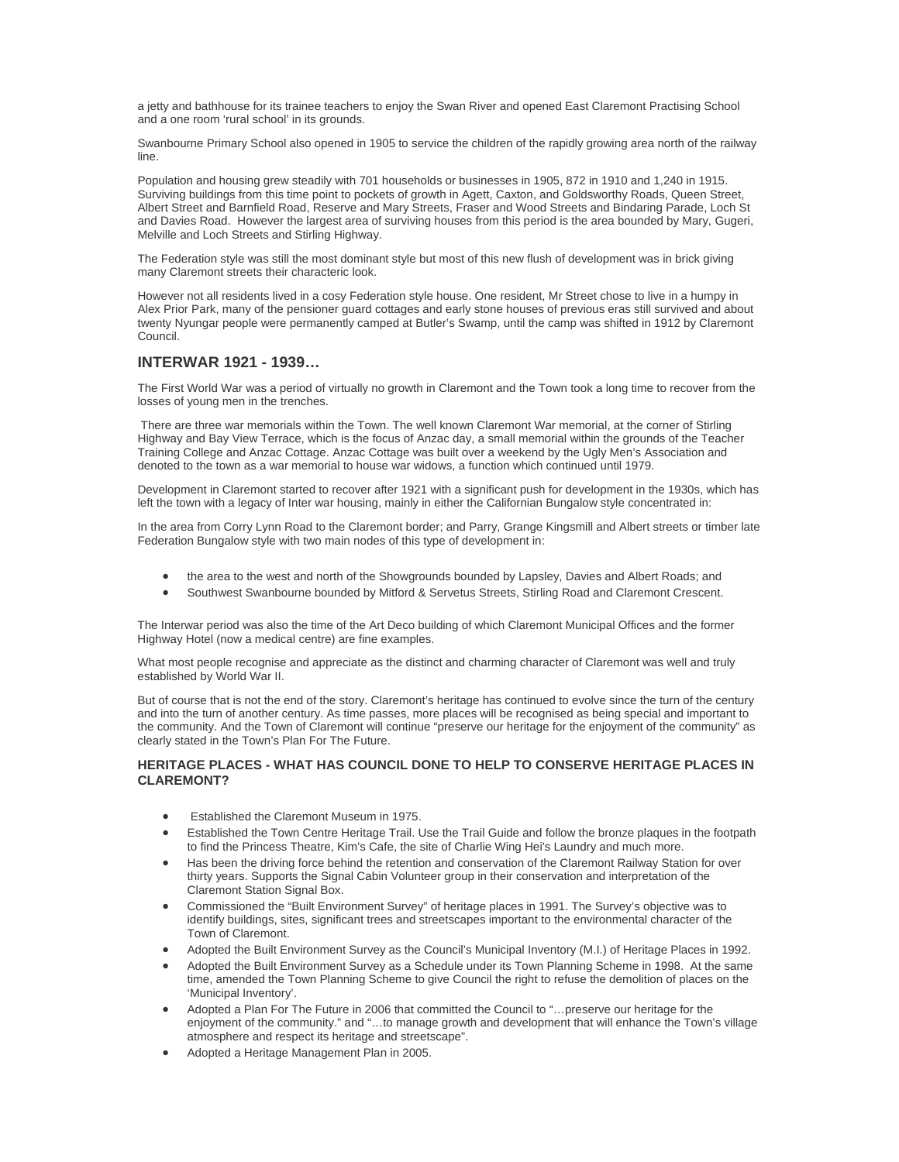a jetty and bathhouse for its trainee teachers to enjoy the Swan River and opened East Claremont Practising School and a one room 'rural school' in its grounds.

Swanbourne Primary School also opened in 1905 to service the children of the rapidly growing area north of the railway line.

Population and housing grew steadily with 701 households or businesses in 1905, 872 in 1910 and 1,240 in 1915. Surviving buildings from this time point to pockets of growth in Agett, Caxton, and Goldsworthy Roads, Queen Street, Albert Street and Barnfield Road, Reserve and Mary Streets, Fraser and Wood Streets and Bindaring Parade, Loch St and Davies Road. However the largest area of surviving houses from this period is the area bounded by Mary, Gugeri, Melville and Loch Streets and Stirling Highway.

The Federation style was still the most dominant style but most of this new flush of development was in brick giving many Claremont streets their characteric look.

However not all residents lived in a cosy Federation style house. One resident, Mr Street chose to live in a humpy in Alex Prior Park, many of the pensioner guard cottages and early stone houses of previous eras still survived and about twenty Nyungar people were permanently camped at Butler's Swamp, until the camp was shifted in 1912 by Claremont Council.

## **INTERWAR 1921 - 1939…**

The First World War was a period of virtually no growth in Claremont and the Town took a long time to recover from the losses of young men in the trenches.

 There are three war memorials within the Town. The well known Claremont War memorial, at the corner of Stirling Highway and Bay View Terrace, which is the focus of Anzac day, a small memorial within the grounds of the Teacher Training College and Anzac Cottage. Anzac Cottage was built over a weekend by the Ugly Men's Association and denoted to the town as a war memorial to house war widows, a function which continued until 1979.

Development in Claremont started to recover after 1921 with a significant push for development in the 1930s, which has left the town with a legacy of Inter war housing, mainly in either the Californian Bungalow style concentrated in:

In the area from Corry Lynn Road to the Claremont border; and Parry, Grange Kingsmill and Albert streets or timber late Federation Bungalow style with two main nodes of this type of development in:

- the area to the west and north of the Showgrounds bounded by Lapsley, Davies and Albert Roads; and
- Southwest Swanbourne bounded by Mitford & Servetus Streets, Stirling Road and Claremont Crescent.

The Interwar period was also the time of the Art Deco building of which Claremont Municipal Offices and the former Highway Hotel (now a medical centre) are fine examples.

What most people recognise and appreciate as the distinct and charming character of Claremont was well and truly established by World War II.

But of course that is not the end of the story. Claremont's heritage has continued to evolve since the turn of the century and into the turn of another century. As time passes, more places will be recognised as being special and important to the community. And the Town of Claremont will continue "preserve our heritage for the enjoyment of the community" as clearly stated in the Town's Plan For The Future.

#### **HERITAGE PLACES - WHAT HAS COUNCIL DONE TO HELP TO CONSERVE HERITAGE PLACES IN CLAREMONT?**

- Established the Claremont Museum in 1975.
- Established the Town Centre Heritage Trail. Use the Trail Guide and follow the bronze plaques in the footpath to find the Princess Theatre, Kim's Cafe, the site of Charlie Wing Hei's Laundry and much more.
- Has been the driving force behind the retention and conservation of the Claremont Railway Station for over thirty years. Supports the Signal Cabin Volunteer group in their conservation and interpretation of the Claremont Station Signal Box.
- Commissioned the "Built Environment Survey" of heritage places in 1991. The Survey's objective was to identify buildings, sites, significant trees and streetscapes important to the environmental character of the Town of Claremont.
- Adopted the Built Environment Survey as the Council's Municipal Inventory (M.I.) of Heritage Places in 1992.
- Adopted the Built Environment Survey as a Schedule under its Town Planning Scheme in 1998. At the same time, amended the Town Planning Scheme to give Council the right to refuse the demolition of places on the 'Municipal Inventory'.
- Adopted a Plan For The Future in 2006 that committed the Council to "…preserve our heritage for the enjoyment of the community." and "…to manage growth and development that will enhance the Town's village atmosphere and respect its heritage and streetscape".
- Adopted a Heritage Management Plan in 2005.